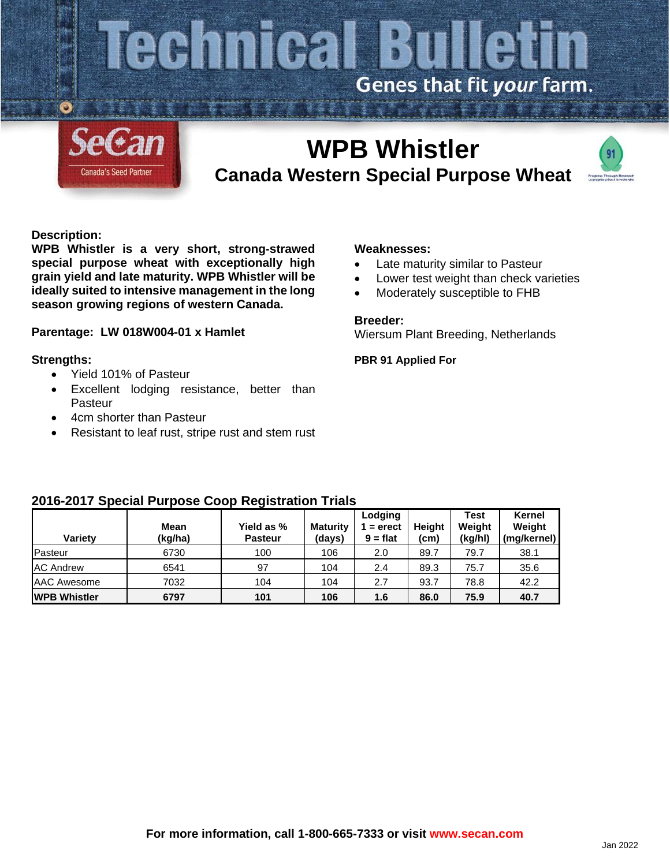# **Cennical Bulletin** Genes that fit your farm.



## **WPB Whistler Canada Western Special Purpose Wheat**



#### **Description:**

**WPB Whistler is a very short, strong-strawed special purpose wheat with exceptionally high grain yield and late maturity. WPB Whistler will be ideally suited to intensive management in the long season growing regions of western Canada.**

#### **Parentage: LW 018W004-01 x Hamlet**

#### **Strengths:**

- Yield 101% of Pasteur
- Excellent lodging resistance, better than Pasteur
- 4cm shorter than Pasteur
- Resistant to leaf rust, stripe rust and stem rust

#### **Weaknesses:**

- Late maturity similar to Pasteur
- Lower test weight than check varieties
- Moderately susceptible to FHB

#### **Breeder:**

Wiersum Plant Breeding, Netherlands

**PBR 91 Applied For**

### **2016-2017 Special Purpose Coop Registration Trials**

| Variety              | Mean<br>(kg/ha) | Yield as %<br><b>Pasteur</b> | <b>Maturity</b><br>(days) | Lodging<br>$=$ erect<br>$9 = flat$ | <b>Height</b><br>(cm) | <b>Test</b><br>Weight<br>(kg/hl) | Kernel<br>Weight<br>(mg/kernel) |
|----------------------|-----------------|------------------------------|---------------------------|------------------------------------|-----------------------|----------------------------------|---------------------------------|
| Pasteur              | 6730            | 100                          | 106                       | 2.0                                | 89.7                  | 79.7                             | 38.1                            |
| <b>AC Andrew</b>     | 6541            | 97                           | 104                       | 2.4                                | 89.3                  | 75.7                             | 35.6                            |
| AAC Awesome          | 7032            | 104                          | 104                       | 2.7                                | 93.7                  | 78.8                             | 42.2                            |
| <b>IWPB Whistler</b> | 6797            | 101                          | 106                       | 1.6                                | 86.0                  | 75.9                             | 40.7                            |